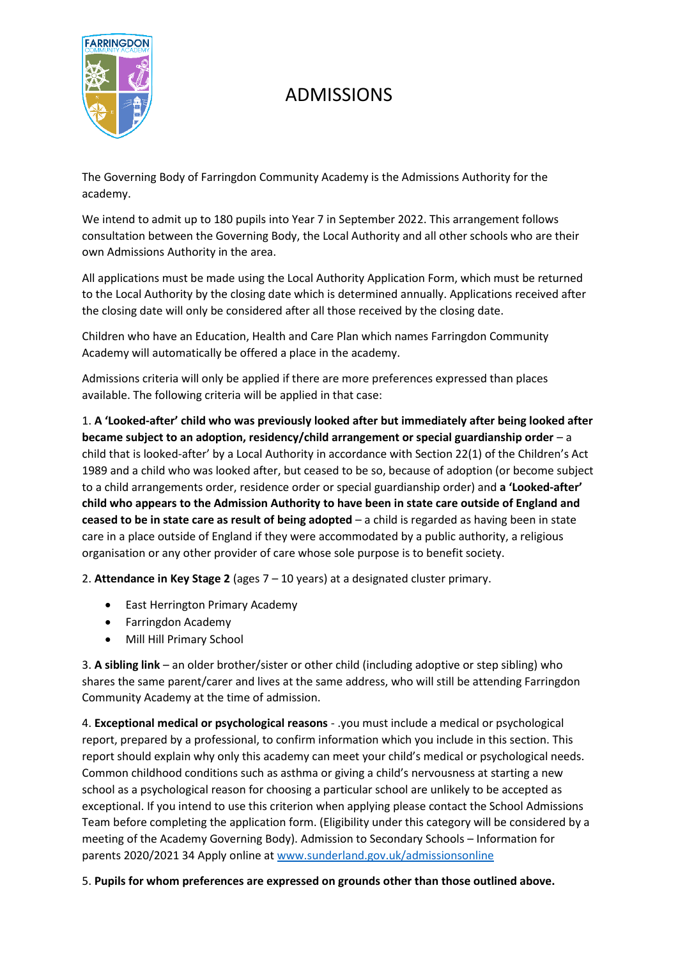

# ADMISSIONS

The Governing Body of Farringdon Community Academy is the Admissions Authority for the academy.

We intend to admit up to 180 pupils into Year 7 in September 2022. This arrangement follows consultation between the Governing Body, the Local Authority and all other schools who are their own Admissions Authority in the area.

All applications must be made using the Local Authority Application Form, which must be returned to the Local Authority by the closing date which is determined annually. Applications received after the closing date will only be considered after all those received by the closing date.

Children who have an Education, Health and Care Plan which names Farringdon Community Academy will automatically be offered a place in the academy.

Admissions criteria will only be applied if there are more preferences expressed than places available. The following criteria will be applied in that case:

1. **A 'Looked-after' child who was previously looked after but immediately after being looked after became subject to an adoption, residency/child arrangement or special guardianship order** – a child that is looked-after' by a Local Authority in accordance with Section 22(1) of the Children's Act 1989 and a child who was looked after, but ceased to be so, because of adoption (or become subject to a child arrangements order, residence order or special guardianship order) and **a 'Looked-after' child who appears to the Admission Authority to have been in state care outside of England and ceased to be in state care as result of being adopted** – a child is regarded as having been in state care in a place outside of England if they were accommodated by a public authority, a religious organisation or any other provider of care whose sole purpose is to benefit society.

2. **Attendance in Key Stage 2** (ages 7 – 10 years) at a designated cluster primary.

- East Herrington Primary Academy
- Farringdon Academy
- Mill Hill Primary School

3. **A sibling link** – an older brother/sister or other child (including adoptive or step sibling) who shares the same parent/carer and lives at the same address, who will still be attending Farringdon Community Academy at the time of admission.

4. **Exceptional medical or psychological reasons** - .you must include a medical or psychological report, prepared by a professional, to confirm information which you include in this section. This report should explain why only this academy can meet your child's medical or psychological needs. Common childhood conditions such as asthma or giving a child's nervousness at starting a new school as a psychological reason for choosing a particular school are unlikely to be accepted as exceptional. If you intend to use this criterion when applying please contact the School Admissions Team before completing the application form. (Eligibility under this category will be considered by a meeting of the Academy Governing Body). Admission to Secondary Schools – Information for parents 2020/2021 34 Apply online at [www.sunderland.gov.uk/admissionsonline](http://www.sunderland.gov.uk/admissionsonline)

### 5. **Pupils for whom preferences are expressed on grounds other than those outlined above.**